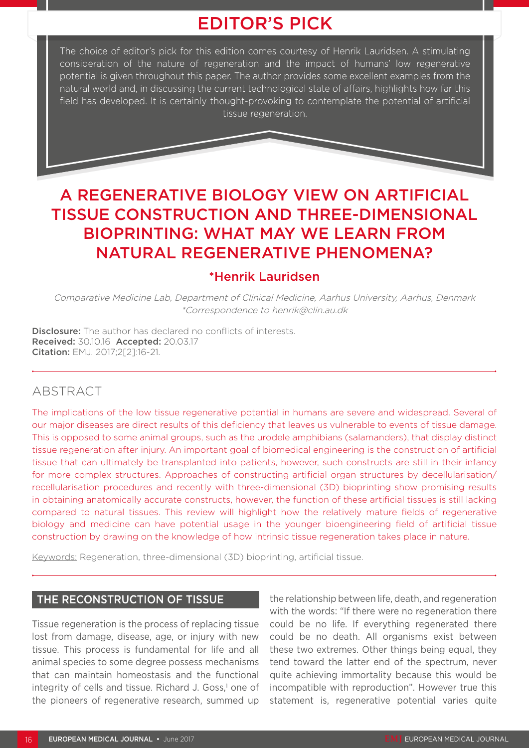# EDITOR'S PICK

The choice of editor's pick for this edition comes courtesy of Henrik Lauridsen. A stimulating consideration of the nature of regeneration and the impact of humans' low regenerative potential is given throughout this paper. The author provides some excellent examples from the natural world and, in discussing the current technological state of affairs, highlights how far this field has developed. It is certainly thought-provoking to contemplate the potential of artificial tissue regeneration.

## A REGENERATIVE BIOLOGY VIEW ON ARTIFICIAL TISSUE CONSTRUCTION AND THREE-DIMENSIONAL BIOPRINTING: WHAT MAY WE LEARN FROM NATURAL REGENERATIVE PHENOMENA?

### \*Henrik Lauridsen

Comparative Medicine Lab, Department of Clinical Medicine, Aarhus University, Aarhus, Denmark \*Correspondence to henrik@clin.au.dk

**Disclosure:** The author has declared no conflicts of interests. Received: 30.10.16 Accepted: 20.03.17 Citation: EMJ. 2017;2[2]:16-21.

## ABSTRACT

The implications of the low tissue regenerative potential in humans are severe and widespread. Several of our major diseases are direct results of this deficiency that leaves us vulnerable to events of tissue damage. This is opposed to some animal groups, such as the urodele amphibians (salamanders), that display distinct tissue regeneration after injury. An important goal of biomedical engineering is the construction of artificial tissue that can ultimately be transplanted into patients, however, such constructs are still in their infancy for more complex structures. Approaches of constructing artificial organ structures by decellularisation/ recellularisation procedures and recently with three-dimensional (3D) bioprinting show promising results in obtaining anatomically accurate constructs, however, the function of these artificial tissues is still lacking compared to natural tissues. This review will highlight how the relatively mature fields of regenerative biology and medicine can have potential usage in the younger bioengineering field of artificial tissue construction by drawing on the knowledge of how intrinsic tissue regeneration takes place in nature.

Keywords: Regeneration, three-dimensional (3D) bioprinting, artificial tissue.

#### THE RECONSTRUCTION OF TISSUE

Tissue regeneration is the process of replacing tissue lost from damage, disease, age, or injury with new tissue. This process is fundamental for life and all animal species to some degree possess mechanisms that can maintain homeostasis and the functional integrity of cells and tissue. Richard J. Goss,<sup>1</sup> one of the pioneers of regenerative research, summed up

the relationship between life, death, and regeneration with the words: "If there were no regeneration there could be no life. If everything regenerated there could be no death. All organisms exist between these two extremes. Other things being equal, they tend toward the latter end of the spectrum, never quite achieving immortality because this would be incompatible with reproduction". However true this statement is, regenerative potential varies quite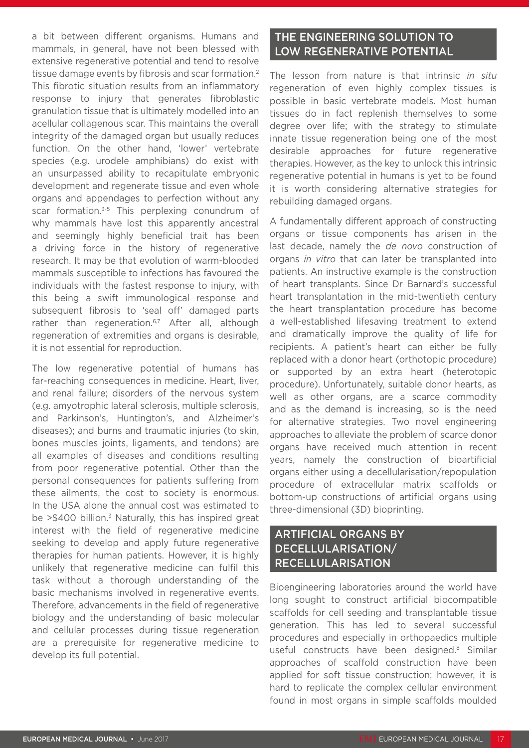a bit between different organisms. Humans and mammals, in general, have not been blessed with extensive regenerative potential and tend to resolve tissue damage events by fibrosis and scar formation.2 This fibrotic situation results from an inflammatory response to injury that generates fibroblastic granulation tissue that is ultimately modelled into an acellular collagenous scar. This maintains the overall integrity of the damaged organ but usually reduces function. On the other hand, 'lower' vertebrate species (e.g. urodele amphibians) do exist with an unsurpassed ability to recapitulate embryonic development and regenerate tissue and even whole organs and appendages to perfection without any scar formation.<sup>3-5</sup> This perplexing conundrum of why mammals have lost this apparently ancestral and seemingly highly beneficial trait has been a driving force in the history of regenerative research. It may be that evolution of warm-blooded mammals susceptible to infections has favoured the individuals with the fastest response to injury, with this being a swift immunological response and subsequent fibrosis to 'seal off' damaged parts rather than regeneration.<sup>6,7</sup> After all, although regeneration of extremities and organs is desirable, it is not essential for reproduction.

The low regenerative potential of humans has far-reaching consequences in medicine. Heart, liver, and renal failure; disorders of the nervous system (e.g. amyotrophic lateral sclerosis, multiple sclerosis, and Parkinson's, Huntington's, and Alzheimer's diseases); and burns and traumatic injuries (to skin, bones muscles joints, ligaments, and tendons) are all examples of diseases and conditions resulting from poor regenerative potential. Other than the personal consequences for patients suffering from these ailments, the cost to society is enormous. In the USA alone the annual cost was estimated to be  $>$ \$400 billion.<sup>3</sup> Naturally, this has inspired great interest with the field of regenerative medicine seeking to develop and apply future regenerative therapies for human patients. However, it is highly unlikely that regenerative medicine can fulfil this task without a thorough understanding of the basic mechanisms involved in regenerative events. Therefore, advancements in the field of regenerative biology and the understanding of basic molecular and cellular processes during tissue regeneration are a prerequisite for regenerative medicine to develop its full potential.

### THE ENGINEERING SOLUTION TO LOW REGENERATIVE POTENTIAL

The lesson from nature is that intrinsic *in situ*  regeneration of even highly complex tissues is possible in basic vertebrate models. Most human tissues do in fact replenish themselves to some degree over life; with the strategy to stimulate innate tissue regeneration being one of the most desirable approaches for future regenerative therapies. However, as the key to unlock this intrinsic regenerative potential in humans is yet to be found it is worth considering alternative strategies for rebuilding damaged organs.

A fundamentally different approach of constructing organs or tissue components has arisen in the last decade, namely the *de novo* construction of organs *in vitro* that can later be transplanted into patients. An instructive example is the construction of heart transplants. Since Dr Barnard's successful heart transplantation in the mid-twentieth century the heart transplantation procedure has become a well-established lifesaving treatment to extend and dramatically improve the quality of life for recipients. A patient's heart can either be fully replaced with a donor heart (orthotopic procedure) or supported by an extra heart (heterotopic procedure). Unfortunately, suitable donor hearts, as well as other organs, are a scarce commodity and as the demand is increasing, so is the need for alternative strategies. Two novel engineering approaches to alleviate the problem of scarce donor organs have received much attention in recent years, namely the construction of bioartificial organs either using a decellularisation/repopulation procedure of extracellular matrix scaffolds or bottom-up constructions of artificial organs using three-dimensional (3D) bioprinting.

### ARTIFICIAL ORGANS BY DECELLULARISATION/ RECELLULARISATION

Bioengineering laboratories around the world have long sought to construct artificial biocompatible scaffolds for cell seeding and transplantable tissue generation. This has led to several successful procedures and especially in orthopaedics multiple useful constructs have been designed.<sup>8</sup> Similar approaches of scaffold construction have been applied for soft tissue construction; however, it is hard to replicate the complex cellular environment found in most organs in simple scaffolds moulded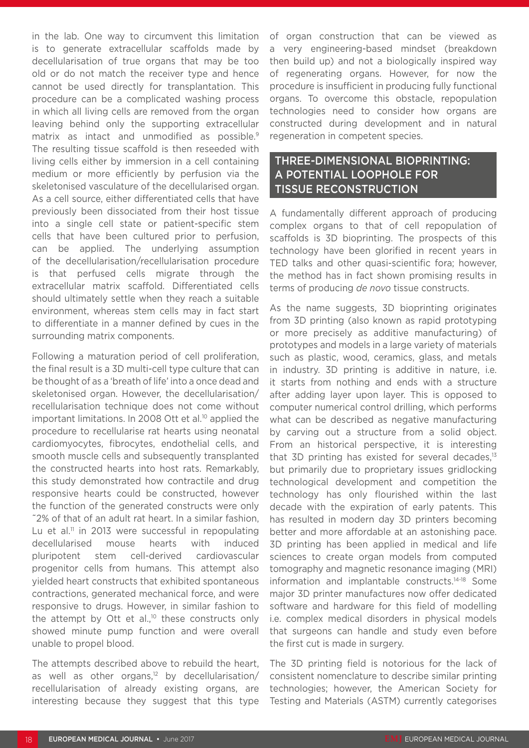in the lab. One way to circumvent this limitation is to generate extracellular scaffolds made by decellularisation of true organs that may be too old or do not match the receiver type and hence cannot be used directly for transplantation. This procedure can be a complicated washing process in which all living cells are removed from the organ leaving behind only the supporting extracellular matrix as intact and unmodified as possible.<sup>9</sup> The resulting tissue scaffold is then reseeded with living cells either by immersion in a cell containing medium or more efficiently by perfusion via the skeletonised vasculature of the decellularised organ. As a cell source, either differentiated cells that have previously been dissociated from their host tissue into a single cell state or patient-specific stem cells that have been cultured prior to perfusion, can be applied. The underlying assumption of the decellularisation/recellularisation procedure is that perfused cells migrate through the extracellular matrix scaffold. Differentiated cells should ultimately settle when they reach a suitable environment, whereas stem cells may in fact start to differentiate in a manner defined by cues in the surrounding matrix components.

Following a maturation period of cell proliferation, the final result is a 3D multi-cell type culture that can be thought of as a 'breath of life' into a once dead and skeletonised organ. However, the decellularisation/ recellularisation technique does not come without important limitations. In 2008 Ott et al.<sup>10</sup> applied the procedure to recellularise rat hearts using neonatal cardiomyocytes, fibrocytes, endothelial cells, and smooth muscle cells and subsequently transplanted the constructed hearts into host rats. Remarkably, this study demonstrated how contractile and drug responsive hearts could be constructed, however the function of the generated constructs were only ˜2% of that of an adult rat heart. In a similar fashion, Lu et al.<sup>11</sup> in 2013 were successful in repopulating decellularised mouse hearts with induced pluripotent stem cell-derived cardiovascular progenitor cells from humans. This attempt also yielded heart constructs that exhibited spontaneous contractions, generated mechanical force, and were responsive to drugs. However, in similar fashion to the attempt by Ott et al.,<sup>10</sup> these constructs only showed minute pump function and were overall unable to propel blood.

The attempts described above to rebuild the heart, as well as other organs, $12$  by decellularisation/ recellularisation of already existing organs, are interesting because they suggest that this type

of organ construction that can be viewed as a very engineering-based mindset (breakdown then build up) and not a biologically inspired way of regenerating organs. However, for now the procedure is insufficient in producing fully functional organs. To overcome this obstacle, repopulation technologies need to consider how organs are constructed during development and in natural regeneration in competent species.

### THREE-DIMENSIONAL BIOPRINTING: A POTENTIAL LOOPHOLE FOR TISSUE RECONSTRUCTION

A fundamentally different approach of producing complex organs to that of cell repopulation of scaffolds is 3D bioprinting. The prospects of this technology have been glorified in recent years in TED talks and other quasi-scientific fora; however, the method has in fact shown promising results in terms of producing *de novo* tissue constructs.

As the name suggests, 3D bioprinting originates from 3D printing (also known as rapid prototyping or more precisely as additive manufacturing) of prototypes and models in a large variety of materials such as plastic, wood, ceramics, glass, and metals in industry. 3D printing is additive in nature, i.e. it starts from nothing and ends with a structure after adding layer upon layer. This is opposed to computer numerical control drilling, which performs what can be described as negative manufacturing by carving out a structure from a solid object. From an historical perspective, it is interesting that 3D printing has existed for several decades, $13$ but primarily due to proprietary issues gridlocking technological development and competition the technology has only flourished within the last decade with the expiration of early patents. This has resulted in modern day 3D printers becoming better and more affordable at an astonishing pace. 3D printing has been applied in medical and life sciences to create organ models from computed tomography and magnetic resonance imaging (MRI) information and implantable constructs.14-18 Some major 3D printer manufactures now offer dedicated software and hardware for this field of modelling i.e. complex medical disorders in physical models that surgeons can handle and study even before the first cut is made in surgery.

The 3D printing field is notorious for the lack of consistent nomenclature to describe similar printing technologies; however, the American Society for Testing and Materials (ASTM) currently categorises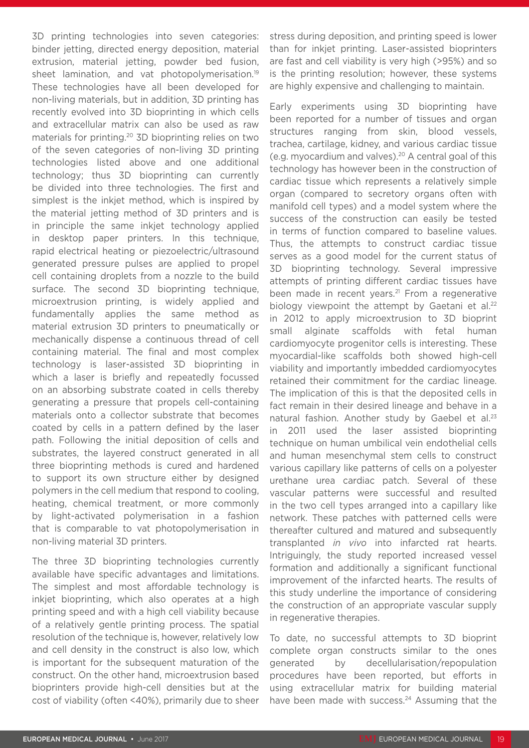3D printing technologies into seven categories: binder jetting, directed energy deposition, material extrusion, material jetting, powder bed fusion, sheet lamination, and vat photopolymerisation.<sup>19</sup> These technologies have all been developed for non-living materials, but in addition, 3D printing has recently evolved into 3D bioprinting in which cells and extracellular matrix can also be used as raw materials for printing.20 3D bioprinting relies on two of the seven categories of non-living 3D printing technologies listed above and one additional technology; thus 3D bioprinting can currently be divided into three technologies. The first and simplest is the inkjet method, which is inspired by the material jetting method of 3D printers and is in principle the same inkjet technology applied in desktop paper printers. In this technique, rapid electrical heating or piezoelectric/ultrasound generated pressure pulses are applied to propel cell containing droplets from a nozzle to the build surface. The second 3D bioprinting technique, microextrusion printing, is widely applied and fundamentally applies the same method as material extrusion 3D printers to pneumatically or mechanically dispense a continuous thread of cell containing material. The final and most complex technology is laser-assisted 3D bioprinting in which a laser is briefly and repeatedly focussed on an absorbing substrate coated in cells thereby generating a pressure that propels cell-containing materials onto a collector substrate that becomes coated by cells in a pattern defined by the laser path. Following the initial deposition of cells and substrates, the layered construct generated in all three bioprinting methods is cured and hardened to support its own structure either by designed polymers in the cell medium that respond to cooling, heating, chemical treatment, or more commonly by light-activated polymerisation in a fashion that is comparable to vat photopolymerisation in non-living material 3D printers.

The three 3D bioprinting technologies currently available have specific advantages and limitations. The simplest and most affordable technology is inkjet bioprinting, which also operates at a high printing speed and with a high cell viability because of a relatively gentle printing process. The spatial resolution of the technique is, however, relatively low and cell density in the construct is also low, which is important for the subsequent maturation of the construct. On the other hand, microextrusion based bioprinters provide high-cell densities but at the cost of viability (often <40%), primarily due to sheer stress during deposition, and printing speed is lower than for inkjet printing. Laser-assisted bioprinters are fast and cell viability is very high (>95%) and so is the printing resolution; however, these systems are highly expensive and challenging to maintain.

Early experiments using 3D bioprinting have been reported for a number of tissues and organ structures ranging from skin, blood vessels, trachea, cartilage, kidney, and various cardiac tissue (e.g. myocardium and valves).20 A central goal of this technology has however been in the construction of cardiac tissue which represents a relatively simple organ (compared to secretory organs often with manifold cell types) and a model system where the success of the construction can easily be tested in terms of function compared to baseline values. Thus, the attempts to construct cardiac tissue serves as a good model for the current status of 3D bioprinting technology. Several impressive attempts of printing different cardiac tissues have been made in recent years.<sup>21</sup> From a regenerative biology viewpoint the attempt by Gaetani et al. $22$ in 2012 to apply microextrusion to 3D bioprint small alginate scaffolds with fetal human cardiomyocyte progenitor cells is interesting. These myocardial-like scaffolds both showed high-cell viability and importantly imbedded cardiomyocytes retained their commitment for the cardiac lineage. The implication of this is that the deposited cells in fact remain in their desired lineage and behave in a natural fashion. Another study by Gaebel et al.<sup>23</sup> in 2011 used the laser assisted bioprinting technique on human umbilical vein endothelial cells and human mesenchymal stem cells to construct various capillary like patterns of cells on a polyester urethane urea cardiac patch. Several of these vascular patterns were successful and resulted in the two cell types arranged into a capillary like network. These patches with patterned cells were thereafter cultured and matured and subsequently transplanted *in vivo* into infarcted rat hearts. Intriguingly, the study reported increased vessel formation and additionally a significant functional improvement of the infarcted hearts. The results of this study underline the importance of considering the construction of an appropriate vascular supply in regenerative therapies.

To date, no successful attempts to 3D bioprint complete organ constructs similar to the ones generated by decellularisation/repopulation procedures have been reported, but efforts in using extracellular matrix for building material have been made with success.<sup>24</sup> Assuming that the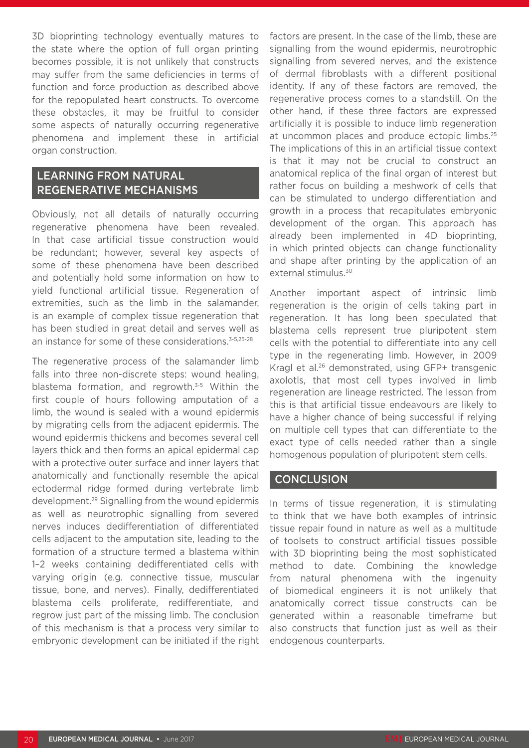3D bioprinting technology eventually matures to the state where the option of full organ printing becomes possible, it is not unlikely that constructs may suffer from the same deficiencies in terms of function and force production as described above for the repopulated heart constructs. To overcome these obstacles, it may be fruitful to consider some aspects of naturally occurring regenerative phenomena and implement these in artificial organ construction.

#### LEARNING FROM NATURAL REGENERATIVE MECHANISMS

Obviously, not all details of naturally occurring regenerative phenomena have been revealed. In that case artificial tissue construction would be redundant; however, several key aspects of some of these phenomena have been described and potentially hold some information on how to yield functional artificial tissue. Regeneration of extremities, such as the limb in the salamander, is an example of complex tissue regeneration that has been studied in great detail and serves well as an instance for some of these considerations.<sup>3-5,25-28</sup>

The regenerative process of the salamander limb falls into three non-discrete steps: wound healing, blastema formation, and regrowth.<sup>3-5</sup> Within the first couple of hours following amputation of a limb, the wound is sealed with a wound epidermis by migrating cells from the adjacent epidermis. The wound epidermis thickens and becomes several cell layers thick and then forms an apical epidermal cap with a protective outer surface and inner layers that anatomically and functionally resemble the apical ectodermal ridge formed during vertebrate limb development.29 Signalling from the wound epidermis as well as neurotrophic signalling from severed nerves induces dedifferentiation of differentiated cells adjacent to the amputation site, leading to the formation of a structure termed a blastema within 1–2 weeks containing dedifferentiated cells with varying origin (e.g. connective tissue, muscular tissue, bone, and nerves). Finally, dedifferentiated blastema cells proliferate, redifferentiate, and regrow just part of the missing limb. The conclusion of this mechanism is that a process very similar to embryonic development can be initiated if the right factors are present. In the case of the limb, these are signalling from the wound epidermis, neurotrophic signalling from severed nerves, and the existence of dermal fibroblasts with a different positional identity. If any of these factors are removed, the regenerative process comes to a standstill. On the other hand, if these three factors are expressed artificially it is possible to induce limb regeneration at uncommon places and produce ectopic limbs.<sup>25</sup> The implications of this in an artificial tissue context is that it may not be crucial to construct an anatomical replica of the final organ of interest but rather focus on building a meshwork of cells that can be stimulated to undergo differentiation and growth in a process that recapitulates embryonic development of the organ. This approach has already been implemented in 4D bioprinting, in which printed objects can change functionality and shape after printing by the application of an external stimulus.<sup>30</sup>

Another important aspect of intrinsic limb regeneration is the origin of cells taking part in regeneration. It has long been speculated that blastema cells represent true pluripotent stem cells with the potential to differentiate into any cell type in the regenerating limb. However, in 2009 Kragl et al.26 demonstrated, using GFP+ transgenic axolotls, that most cell types involved in limb regeneration are lineage restricted. The lesson from this is that artificial tissue endeavours are likely to have a higher chance of being successful if relying on multiple cell types that can differentiate to the exact type of cells needed rather than a single homogenous population of pluripotent stem cells.

#### **CONCLUSION**

In terms of tissue regeneration, it is stimulating to think that we have both examples of intrinsic tissue repair found in nature as well as a multitude of toolsets to construct artificial tissues possible with 3D bioprinting being the most sophisticated method to date. Combining the knowledge from natural phenomena with the ingenuity of biomedical engineers it is not unlikely that anatomically correct tissue constructs can be generated within a reasonable timeframe but also constructs that function just as well as their endogenous counterparts.